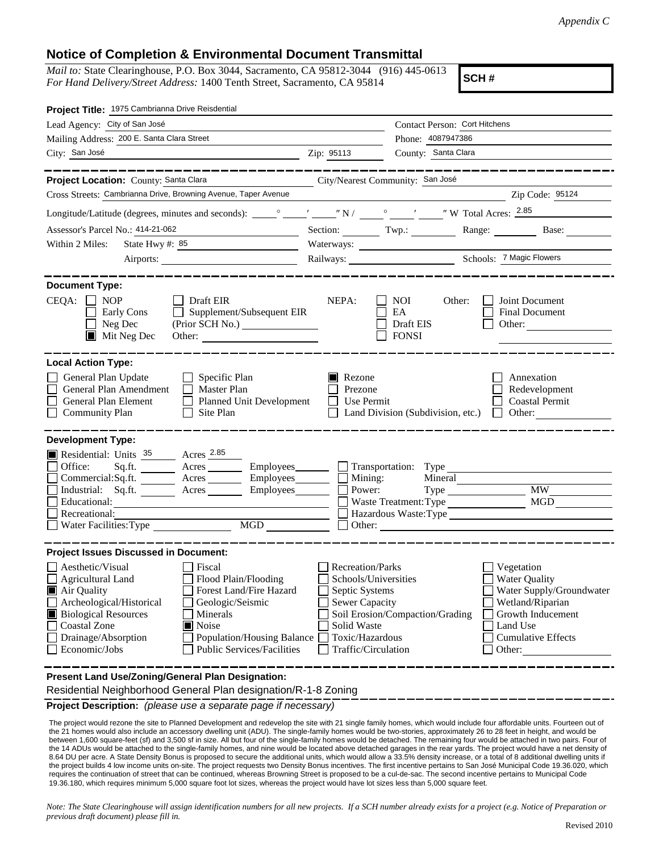## **Notice of Completion & Environmental Document Transmittal**

*Mail to:* State Clearinghouse, P.O. Box 3044, Sacramento, CA 95812-3044 (916) 445-0613 *For Hand Delivery/Street Address:* 1400 Tenth Street, Sacramento, CA 95814

**SCH #**

| Project Title: 1975 Cambrianna Drive Reisdential                                                                                                                                                                                                                                                                                                                                                                 |                                                                                                                                              |                                                                                                                                           |                                                                                                                                                            |
|------------------------------------------------------------------------------------------------------------------------------------------------------------------------------------------------------------------------------------------------------------------------------------------------------------------------------------------------------------------------------------------------------------------|----------------------------------------------------------------------------------------------------------------------------------------------|-------------------------------------------------------------------------------------------------------------------------------------------|------------------------------------------------------------------------------------------------------------------------------------------------------------|
| Lead Agency: City of San José                                                                                                                                                                                                                                                                                                                                                                                    |                                                                                                                                              | Contact Person: Cort Hitchens                                                                                                             |                                                                                                                                                            |
| Mailing Address: 200 E. Santa Clara Street                                                                                                                                                                                                                                                                                                                                                                       |                                                                                                                                              | Phone: 4087947386                                                                                                                         |                                                                                                                                                            |
| City: San José                                                                                                                                                                                                                                                                                                                                                                                                   | Zip: 95113                                                                                                                                   | County: Santa Clara                                                                                                                       |                                                                                                                                                            |
|                                                                                                                                                                                                                                                                                                                                                                                                                  |                                                                                                                                              |                                                                                                                                           | _____________                                                                                                                                              |
| Project Location: County: Santa Clara                                                                                                                                                                                                                                                                                                                                                                            | City/Nearest Community: San José                                                                                                             |                                                                                                                                           |                                                                                                                                                            |
| Cross Streets: Cambrianna Drive, Browning Avenue, Taper Avenue                                                                                                                                                                                                                                                                                                                                                   |                                                                                                                                              | <u> 1989 - Johann Barbara, martin amerikan personal (</u>                                                                                 | Zip Code: 95124                                                                                                                                            |
|                                                                                                                                                                                                                                                                                                                                                                                                                  |                                                                                                                                              |                                                                                                                                           |                                                                                                                                                            |
| Assessor's Parcel No.: 414-21-062<br><u> 1980 - Johann Barn, mars eta bat erroman e</u>                                                                                                                                                                                                                                                                                                                          |                                                                                                                                              | Section: Twp.:                                                                                                                            | Base:                                                                                                                                                      |
| State Hwy #: 85<br>Within 2 Miles:<br><u> 1989 - Johann John Stone, mars et al. 1999 - John Stone, mars et al. 1999 - John Stone, mars et al. 1999 - Joh</u>                                                                                                                                                                                                                                                     |                                                                                                                                              | Waterways:                                                                                                                                |                                                                                                                                                            |
| Airports:                                                                                                                                                                                                                                                                                                                                                                                                        |                                                                                                                                              |                                                                                                                                           |                                                                                                                                                            |
| <b>Document Type:</b><br>$CEQA: \Box NP$<br>$\Box$ Draft EIR<br>Supplement/Subsequent EIR<br>Early Cons<br>Neg Dec<br>$\blacksquare$ Mit Neg Dec<br>Other:                                                                                                                                                                                                                                                       | NEPA:                                                                                                                                        | <b>NOI</b><br>Other:<br>EA<br>Draft EIS<br><b>FONSI</b>                                                                                   | Joint Document<br>Final Document<br>Other:                                                                                                                 |
| General Plan Update<br>$\Box$ Specific Plan<br>General Plan Amendment<br>$\Box$ Master Plan<br>General Plan Element<br><b>Planned Unit Development</b><br>$\Box$<br><b>Community Plan</b><br>Site Plan                                                                                                                                                                                                           | Rezone<br>Prezone<br>$\Box$ Use Permit                                                                                                       | Land Division (Subdivision, etc.)                                                                                                         | Annexation<br>Redevelopment<br><b>Coastal Permit</b><br>$\Box$ Other:                                                                                      |
| <b>Development Type:</b><br>Residential: Units 35 Acres 2.85<br>Office:<br>Sq.ft.<br>Acres<br>Employees_________<br>Acres _________ Employees ________<br>Commercial: Sq.ft.<br>Industrial: Sq.ft. Acres<br>Employees_________<br>Educational:<br>Recreational:<br>MGD<br>Water Facilities: Type                                                                                                                 | Mining:<br>Other:                                                                                                                            | Transportation: Type<br>Mineral<br>Power:<br>Waste Treatment: Type<br>Hazardous Waste:Type<br><u> 1989 - Jan Samuel Barbara, martin a</u> | MGD                                                                                                                                                        |
| <b>Project Issues Discussed in Document:</b><br>Aesthetic/Visual<br>Fiscal<br>Flood Plain/Flooding<br><b>Agricultural Land</b><br>Forest Land/Fire Hazard<br>Air Quality<br>Archeological/Historical<br>Geologic/Seismic<br><b>Biological Resources</b><br>Minerals<br>■ Noise<br><b>Coastal Zone</b><br>Drainage/Absorption<br>Population/Housing Balance<br>Economic/Jobs<br><b>Public Services/Facilities</b> | <b>Recreation/Parks</b><br>Schools/Universities<br>Septic Systems<br>Sewer Capacity<br>Solid Waste<br>Toxic/Hazardous<br>Traffic/Circulation | Soil Erosion/Compaction/Grading                                                                                                           | Vegetation<br><b>Water Quality</b><br>Water Supply/Groundwater<br>Wetland/Riparian<br>Growth Inducement<br>Land Use<br><b>Cumulative Effects</b><br>Other: |
| Present Land Use/Zoning/General Plan Designation:<br>idential Naturbusha and Osmanal DIs                                                                                                                                                                                                                                                                                                                         |                                                                                                                                              |                                                                                                                                           |                                                                                                                                                            |

Residential Neighborhood General Plan designation/R-1-8 Zoning

**Project Description:** *(please use a separate page if necessary)*

The project would rezone the site to Planned Development and redevelop the site with 21 single family homes, which would include four affordable units. Fourteen out of the 21 homes would also include an accessory dwelling unit (ADU). The single-family homes would be two-stories, approximately 26 to 28 feet in height, and would be between 1,600 square-feet (sf) and 3,500 sf in size. All but four of the single-family homes would be detached. The remaining four would be attached in two pairs. Four of the 14 ADUs would be attached to the single-family homes, and nine would be located above detached garages in the rear yards. The project would have a net density of 8.64 DU per acre. A State Density Bonus is proposed to secure the additional units, which would allow a 33.5% density increase, or a total of 8 additional dwelling units if the project builds 4 low income units on-site. The project requests two Density Bonus incentives. The first incentive pertains to San José Municipal Code 19.36.020, which requires the continuation of street that can be continued, whereas Browning Street is proposed to be a cul-de-sac. The second incentive pertains to Municipal Code 19.36.180, which requires minimum 5,000 square foot lot sizes, whereas the project would have lot sizes less than 5,000 square feet.

*Note: The State Clearinghouse will assign identification numbers for all new projects. If a SCH number already exists for a project (e.g. Notice of Preparation or previous draft document) please fill in.*